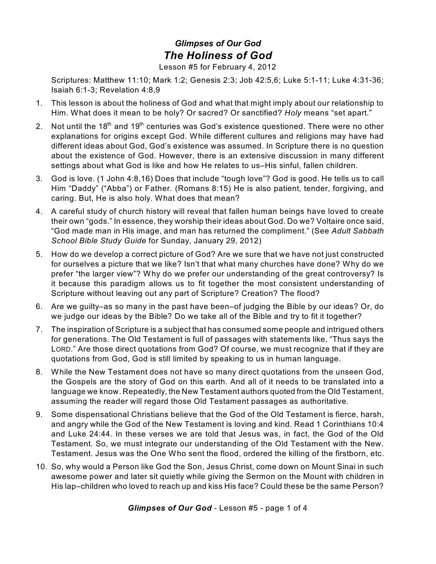## *Glimpses of Our God The Holiness of God*

Lesson #5 for February 4, 2012

Scriptures: Matthew 11:10; Mark 1:2; Genesis 2:3; Job 42:5,6; Luke 5:1-11; Luke 4:31-36; Isaiah 6:1-3; Revelation 4:8,9

- 1. This lesson is about the holiness of God and what that might imply about our relationship to Him. What does it mean to be holy? Or sacred? Or sanctified? *Holy* means "set apart."
- 2. Not until the 18<sup>th</sup> and 19<sup>th</sup> centuries was God's existence questioned. There were no other explanations for origins except God. While different cultures and religions may have had different ideas about God, God's existence was assumed. In Scripture there is no question about the existence of God. However, there is an extensive discussion in many different settings about what God is like and how He relates to us–His sinful, fallen children.
- 3. God is love. (1 John 4:8,16) Does that include "tough love"? God is good. He tells us to call Him "Daddy" ("Abba") or Father. (Romans 8:15) He is also patient, tender, forgiving, and caring. But, He is also holy. What does that mean?
- 4. A careful study of church history will reveal that fallen human beings have loved to create their own "gods." In essence, they worship their ideas about God. Do we? Voltaire once said, "God made man in His image, and man has returned the compliment." (See *Adult Sabbath School Bible Study Guide* for Sunday, January 29, 2012)
- 5. How do we develop a correct picture of God? Are we sure that we have not just constructed for ourselves a picture that we like? Isn't that what many churches have done? Why do we prefer "the larger view"? Why do we prefer our understanding of the great controversy? Is it because this paradigm allows us to fit together the most consistent understanding of Scripture without leaving out any part of Scripture? Creation? The flood?
- 6. Are we guilty–as so many in the past have been–of judging the Bible by our ideas? Or, do we judge our ideas by the Bible? Do we take all of the Bible and try to fit it together?
- 7. The inspiration of Scripture is a subject that has consumed some people and intrigued others for generations. The Old Testament is full of passages with statements like, "Thus says the LORD." Are those direct quotations from God? Of course, we must recognize that if they are quotations from God, God is still limited by speaking to us in human language.
- 8. While the New Testament does not have so many direct quotations from the unseen God, the Gospels are the story of God on this earth. And all of it needs to be translated into a language we know. Repeatedly, the New Testament authors quoted from the Old Testament, assuming the reader will regard those Old Testament passages as authoritative.
- 9. Some dispensational Christians believe that the God of the Old Testament is fierce, harsh, and angry while the God of the New Testament is loving and kind. Read 1 Corinthians 10:4 and Luke 24:44. In these verses we are told that Jesus was, in fact, the God of the Old Testament. So, we must integrate our understanding of the Old Testament with the New. Testament. Jesus was the One Who sent the flood, ordered the killing of the firstborn, etc.
- 10. So, why would a Person like God the Son, Jesus Christ, come down on Mount Sinai in such awesome power and later sit quietly while giving the Sermon on the Mount with children in His lap–children who loved to reach up and kiss His face? Could these be the same Person?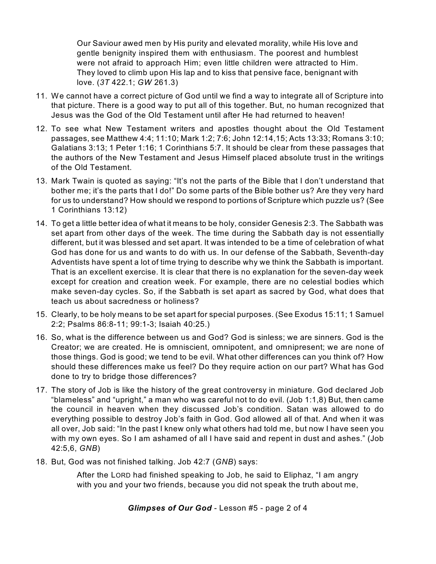Our Saviour awed men by His purity and elevated morality, while His love and gentle benignity inspired them with enthusiasm. The poorest and humblest were not afraid to approach Him; even little children were attracted to Him. They loved to climb upon His lap and to kiss that pensive face, benignant with love. (*3T* 422.1; *GW* 261.3)

- 11. We cannot have a correct picture of God until we find a way to integrate all of Scripture into that picture. There is a good way to put all of this together. But, no human recognized that Jesus was the God of the Old Testament until after He had returned to heaven!
- 12. To see what New Testament writers and apostles thought about the Old Testament passages, see Matthew 4:4; 11:10; Mark 1:2; 7:6; John 12:14,15; Acts 13:33; Romans 3:10; Galatians 3:13; 1 Peter 1:16; 1 Corinthians 5:7. It should be clear from these passages that the authors of the New Testament and Jesus Himself placed absolute trust in the writings of the Old Testament.
- 13. Mark Twain is quoted as saying: "It's not the parts of the Bible that I don't understand that bother me; it's the parts that I do!" Do some parts of the Bible bother us? Are they very hard for us to understand? How should we respond to portions of Scripture which puzzle us? (See 1 Corinthians 13:12)
- 14. To get a little better idea of what it means to be holy, consider Genesis 2:3. The Sabbath was set apart from other days of the week. The time during the Sabbath day is not essentially different, but it was blessed and set apart. It was intended to be a time of celebration of what God has done for us and wants to do with us. In our defense of the Sabbath, Seventh-day Adventists have spent a lot of time trying to describe why we think the Sabbath is important. That is an excellent exercise. It is clear that there is no explanation for the seven-day week except for creation and creation week. For example, there are no celestial bodies which make seven-day cycles. So, if the Sabbath is set apart as sacred by God, what does that teach us about sacredness or holiness?
- 15. Clearly, to be holy means to be set apart for special purposes. (See Exodus 15:11; 1 Samuel 2:2; Psalms 86:8-11; 99:1-3; Isaiah 40:25.)
- 16. So, what is the difference between us and God? God is sinless; we are sinners. God is the Creator; we are created. He is omniscient, omnipotent, and omnipresent; we are none of those things. God is good; we tend to be evil. What other differences can you think of? How should these differences make us feel? Do they require action on our part? What has God done to try to bridge those differences?
- 17. The story of Job is like the history of the great controversy in miniature. God declared Job "blameless" and "upright," a man who was careful not to do evil. (Job 1:1,8) But, then came the council in heaven when they discussed Job's condition. Satan was allowed to do everything possible to destroy Job's faith in God. God allowed all of that. And when it was all over, Job said: "In the past I knew only what others had told me, but now I have seen you with my own eyes. So I am ashamed of all I have said and repent in dust and ashes." (Job 42:5,6, *GNB*)
- 18. But, God was not finished talking. Job 42:7 (*GNB*) says:

After the LORD had finished speaking to Job, he said to Eliphaz, "I am angry with you and your two friends, because you did not speak the truth about me,

*Glimpses of Our God* - Lesson #5 - page 2 of 4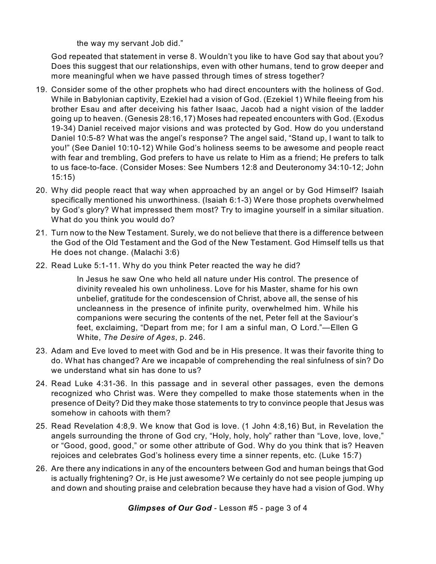the way my servant Job did."

God repeated that statement in verse 8. Wouldn't you like to have God say that about you? Does this suggest that our relationships, even with other humans, tend to grow deeper and more meaningful when we have passed through times of stress together?

- 19. Consider some of the other prophets who had direct encounters with the holiness of God. While in Babylonian captivity, Ezekiel had a vision of God. (Ezekiel 1) While fleeing from his brother Esau and after deceiving his father Isaac, Jacob had a night vision of the ladder going up to heaven. (Genesis 28:16,17) Moses had repeated encounters with God. (Exodus 19-34) Daniel received major visions and was protected by God. How do you understand Daniel 10:5-8? What was the angel's response? The angel said, "Stand up, I want to talk to you!" (See Daniel 10:10-12) While God's holiness seems to be awesome and people react with fear and trembling, God prefers to have us relate to Him as a friend; He prefers to talk to us face-to-face. (Consider Moses: See Numbers 12:8 and Deuteronomy 34:10-12; John 15:15)
- 20. Why did people react that way when approached by an angel or by God Himself? Isaiah specifically mentioned his unworthiness. (Isaiah 6:1-3) Were those prophets overwhelmed by God's glory? What impressed them most? Try to imagine yourself in a similar situation. What do you think you would do?
- 21. Turn now to the New Testament. Surely, we do not believe that there is a difference between the God of the Old Testament and the God of the New Testament. God Himself tells us that He does not change. (Malachi 3:6)
- 22. Read Luke 5:1-11. Why do you think Peter reacted the way he did?

In Jesus he saw One who held all nature under His control. The presence of divinity revealed his own unholiness. Love for his Master, shame for his own unbelief, gratitude for the condescension of Christ, above all, the sense of his uncleanness in the presence of infinite purity, overwhelmed him. While his companions were securing the contents of the net, Peter fell at the Saviour's feet, exclaiming, "Depart from me; for I am a sinful man, O Lord."—Ellen G White, *The Desire of Ages*, p. 246.

- 23. Adam and Eve loved to meet with God and be in His presence. It was their favorite thing to do. What has changed? Are we incapable of comprehending the real sinfulness of sin? Do we understand what sin has done to us?
- 24. Read Luke 4:31-36. In this passage and in several other passages, even the demons recognized who Christ was. Were they compelled to make those statements when in the presence of Deity? Did they make those statements to try to convince people that Jesus was somehow in cahoots with them?
- 25. Read Revelation 4:8,9. We know that God is love. (1 John 4:8,16) But, in Revelation the angels surrounding the throne of God cry, "Holy, holy, holy" rather than "Love, love, love," or "Good, good, good," or some other attribute of God. Why do you think that is? Heaven rejoices and celebrates God's holiness every time a sinner repents, etc. (Luke 15:7)
- 26. Are there any indications in any of the encounters between God and human beings that God is actually frightening? Or, is He just awesome? We certainly do not see people jumping up and down and shouting praise and celebration because they have had a vision of God. Why